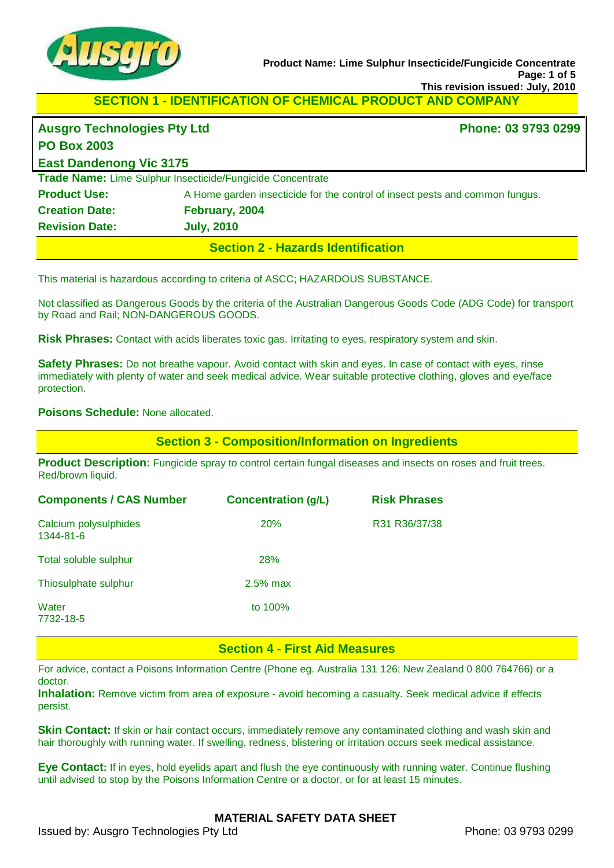

**SECTION 1 - IDENTIFICATION OF CHEMICAL PRODUCT AND COMPANY** 

| <b>Ausgro Technologies Pty Ltd</b> |                                                                              | Phone: 03 9793 0299 |
|------------------------------------|------------------------------------------------------------------------------|---------------------|
| <b>PO Box 2003</b>                 |                                                                              |                     |
| <b>East Dandenong Vic 3175</b>     |                                                                              |                     |
|                                    | Trade Name: Lime Sulphur Insecticide/Fungicide Concentrate                   |                     |
| <b>Product Use:</b>                | A Home garden insecticide for the control of insect pests and common fungus. |                     |
| <b>Creation Date:</b>              | February, 2004                                                               |                     |
| <b>Revision Date:</b>              | <b>July, 2010</b>                                                            |                     |
|                                    | <b>Section 2 - Hazards Identification</b>                                    |                     |

This material is hazardous according to criteria of ASCC; HAZARDOUS SUBSTANCE.

Not classified as Dangerous Goods by the criteria of the Australian Dangerous Goods Code (ADG Code) for transport by Road and Rail; NON-DANGEROUS GOODS.

**Risk Phrases:** Contact with acids liberates toxic gas. Irritating to eyes, respiratory system and skin.

**Safety Phrases:** Do not breathe vapour. Avoid contact with skin and eyes. In case of contact with eyes, rinse immediately with plenty of water and seek medical advice. Wear suitable protective clothing, gloves and eye/face protection.

#### **Poisons Schedule:** None allocated.

**Section 3 - Composition/Information on Ingredients**

**Product Description:** Fungicide spray to control certain fungal diseases and insects on roses and fruit trees. Red/brown liquid.

| <b>Components / CAS Number</b>     | <b>Concentration (g/L)</b> | <b>Risk Phrases</b> |
|------------------------------------|----------------------------|---------------------|
| Calcium polysulphides<br>1344-81-6 | 20%                        | R31 R36/37/38       |
| Total soluble sulphur              | 28%                        |                     |
| Thiosulphate sulphur               | $2.5\%$ max                |                     |
| Water<br>7732-18-5                 | to 100%                    |                     |

### **Section 4 - First Aid Measures**

For advice, contact a Poisons Information Centre (Phone eg. Australia 131 126; New Zealand 0 800 764766) or a doctor.

**Inhalation:** Remove victim from area of exposure - avoid becoming a casualty. Seek medical advice if effects persist.

**Skin Contact:** If skin or hair contact occurs, immediately remove any contaminated clothing and wash skin and hair thoroughly with running water. If swelling, redness, blistering or irritation occurs seek medical assistance.

**Eye Contact:** If in eyes, hold eyelids apart and flush the eye continuously with running water. Continue flushing until advised to stop by the Poisons Information Centre or a doctor, or for at least 15 minutes.

### **MATERIAL SAFETY DATA SHEET**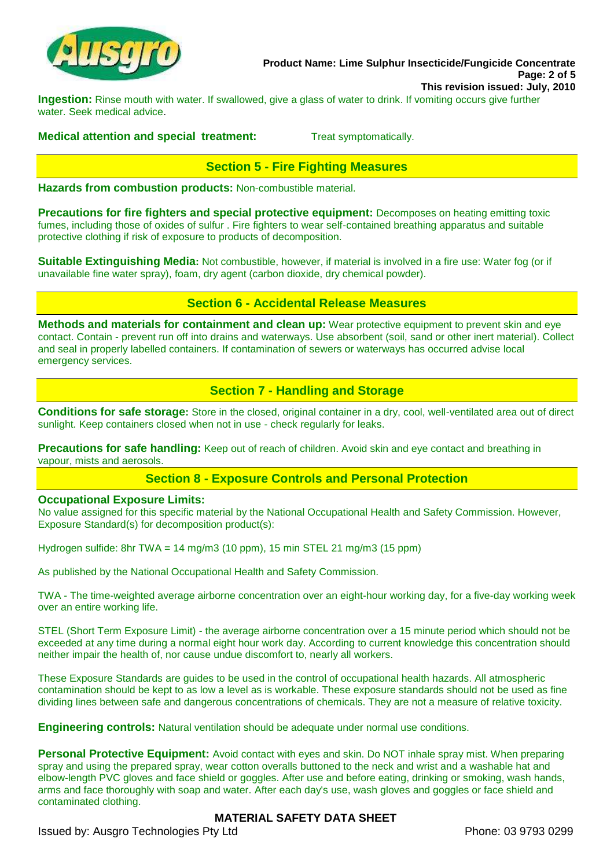

**Product Name: Lime Sulphur Insecticide/Fungicide Concentrate Page: 2 of 5 This revision issued: July, 2010**

**Ingestion:** Rinse mouth with water. If swallowed, give a glass of water to drink. If vomiting occurs give further water. Seek medical advice.

#### **Medical attention and special treatment:** Treat symptomatically.

## **Section 5 - Fire Fighting Measures**

**Hazards from combustion products:** Non-combustible material.

**Precautions for fire fighters and special protective equipment:** Decomposes on heating emitting toxic fumes, including those of oxides of sulfur . Fire fighters to wear self-contained breathing apparatus and suitable protective clothing if risk of exposure to products of decomposition.

**Suitable Extinguishing Media:** Not combustible, however, if material is involved in a fire use: Water fog (or if unavailable fine water spray), foam, dry agent (carbon dioxide, dry chemical powder).

### **Section 6 - Accidental Release Measures**

**Methods and materials for containment and clean up:** Wear protective equipment to prevent skin and eye contact. Contain - prevent run off into drains and waterways. Use absorbent (soil, sand or other inert material). Collect and seal in properly labelled containers. If contamination of sewers or waterways has occurred advise local emergency services.

## **Section 7 - Handling and Storage**

**Conditions for safe storage:** Store in the closed, original container in a dry, cool, well-ventilated area out of direct sunlight. Keep containers closed when not in use - check regularly for leaks.

**Precautions for safe handling:** Keep out of reach of children. Avoid skin and eye contact and breathing in vapour, mists and aerosols.

## **Section 8 - Exposure Controls and Personal Protection**

#### **Occupational Exposure Limits:**

No value assigned for this specific material by the National Occupational Health and Safety Commission. However, Exposure Standard(s) for decomposition product(s):

Hydrogen sulfide: 8hr TWA = 14 mg/m3 (10 ppm), 15 min STEL 21 mg/m3 (15 ppm)

As published by the National Occupational Health and Safety Commission.

TWA - The time-weighted average airborne concentration over an eight-hour working day, for a five-day working week over an entire working life.

STEL (Short Term Exposure Limit) - the average airborne concentration over a 15 minute period which should not be exceeded at any time during a normal eight hour work day. According to current knowledge this concentration should neither impair the health of, nor cause undue discomfort to, nearly all workers.

These Exposure Standards are guides to be used in the control of occupational health hazards. All atmospheric contamination should be kept to as low a level as is workable. These exposure standards should not be used as fine dividing lines between safe and dangerous concentrations of chemicals. They are not a measure of relative toxicity.

**Engineering controls:** Natural ventilation should be adequate under normal use conditions.

**Personal Protective Equipment:** Avoid contact with eyes and skin. Do NOT inhale spray mist. When preparing spray and using the prepared spray, wear cotton overalls buttoned to the neck and wrist and a washable hat and elbow-length PVC gloves and face shield or goggles. After use and before eating, drinking or smoking, wash hands, arms and face thoroughly with soap and water. After each day's use, wash gloves and goggles or face shield and contaminated clothing.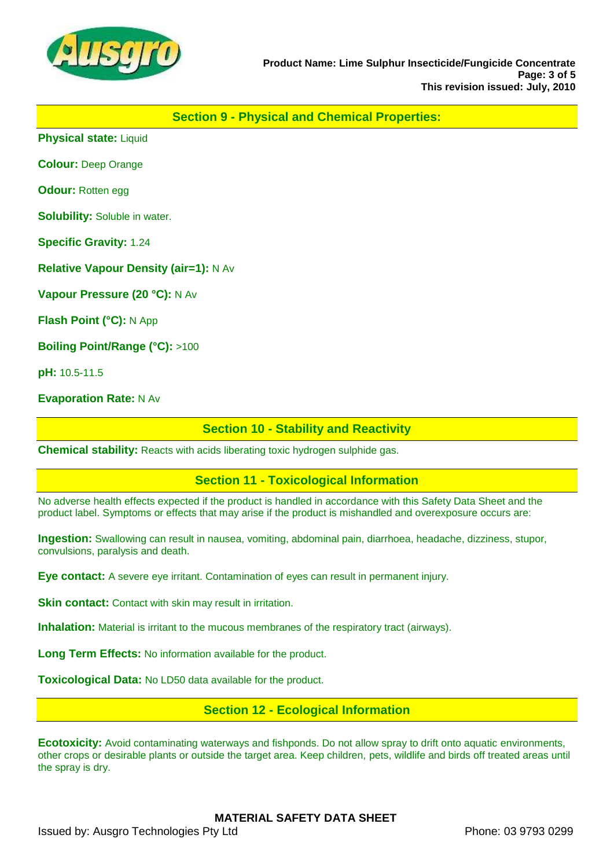

### **Section 9 - Physical and Chemical Properties:**

**Physical state:** Liquid

**Colour:** Deep Orange

**Odour:** Rotten egg

**Solubility:** Soluble in water.

**Specific Gravity:** 1.24

**Relative Vapour Density (air=1):** N Av

**Vapour Pressure (20 °C):** N Av

**Flash Point (°C):** N App

**Boiling Point/Range (°C):** >100

**pH:** 10.5-11.5

**Evaporation Rate:** N Av

#### **Section 10 - Stability and Reactivity**

**Chemical stability:** Reacts with acids liberating toxic hydrogen sulphide gas.

#### **Section 11 - Toxicological Information**

No adverse health effects expected if the product is handled in accordance with this Safety Data Sheet and the product label. Symptoms or effects that may arise if the product is mishandled and overexposure occurs are:

**Ingestion:** Swallowing can result in nausea, vomiting, abdominal pain, diarrhoea, headache, dizziness, stupor, convulsions, paralysis and death.

**Eye contact:** A severe eye irritant. Contamination of eyes can result in permanent injury.

**Skin contact:** Contact with skin may result in irritation.

**Inhalation:** Material is irritant to the mucous membranes of the respiratory tract (airways).

**Long Term Effects:** No information available for the product.

**Toxicological Data:** No LD50 data available for the product.

### **Section 12 - Ecological Information**

**Ecotoxicity:** Avoid contaminating waterways and fishponds. Do not allow spray to drift onto aquatic environments, other crops or desirable plants or outside the target area. Keep children, pets, wildlife and birds off treated areas until the spray is dry.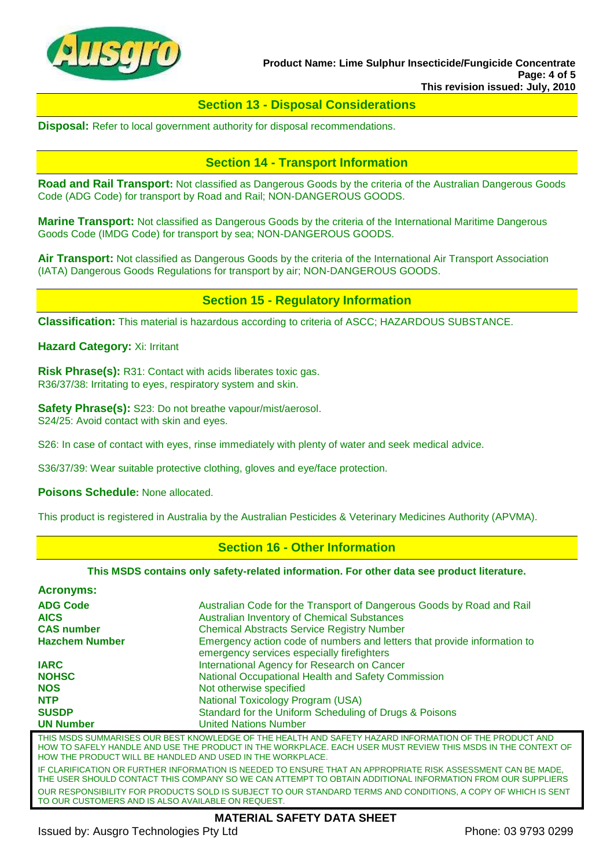

### **Section 13 - Disposal Considerations**

**Disposal:** Refer to local government authority for disposal recommendations.

### **Section 14 - Transport Information**

**Road and Rail Transport:** Not classified as Dangerous Goods by the criteria of the Australian Dangerous Goods Code (ADG Code) for transport by Road and Rail; NON-DANGEROUS GOODS.

**Marine Transport:** Not classified as Dangerous Goods by the criteria of the International Maritime Dangerous Goods Code (IMDG Code) for transport by sea; NON-DANGEROUS GOODS.

**Air Transport:** Not classified as Dangerous Goods by the criteria of the International Air Transport Association (IATA) Dangerous Goods Regulations for transport by air; NON-DANGEROUS GOODS.

#### **Section 15 - Regulatory Information**

**Classification:** This material is hazardous according to criteria of ASCC; HAZARDOUS SUBSTANCE.

**Hazard Category:** Xi: Irritant

**Risk Phrase(s):** R31: Contact with acids liberates toxic gas. R36/37/38: Irritating to eyes, respiratory system and skin.

**Safety Phrase(s):** S23: Do not breathe vapour/mist/aerosol. S24/25: Avoid contact with skin and eyes.

S26: In case of contact with eyes, rinse immediately with plenty of water and seek medical advice.

S36/37/39: Wear suitable protective clothing, gloves and eye/face protection.

**Poisons Schedule:** None allocated.

This product is registered in Australia by the Australian Pesticides & Veterinary Medicines Authority (APVMA).

### **Section 16 - Other Information**

#### **This MSDS contains only safety-related information. For other data see product literature.**

| <b>Acronyms:</b>                                           |                                                                                                                                                                                                                            |
|------------------------------------------------------------|----------------------------------------------------------------------------------------------------------------------------------------------------------------------------------------------------------------------------|
| <b>ADG Code</b>                                            | Australian Code for the Transport of Dangerous Goods by Road and Rail                                                                                                                                                      |
| <b>AICS</b>                                                | <b>Australian Inventory of Chemical Substances</b>                                                                                                                                                                         |
| <b>CAS number</b>                                          | <b>Chemical Abstracts Service Registry Number</b>                                                                                                                                                                          |
| <b>Hazchem Number</b>                                      | Emergency action code of numbers and letters that provide information to<br>emergency services especially firefighters                                                                                                     |
| <b>IARC</b>                                                | International Agency for Research on Cancer                                                                                                                                                                                |
| <b>NOHSC</b>                                               | National Occupational Health and Safety Commission                                                                                                                                                                         |
| <b>NOS</b>                                                 | Not otherwise specified                                                                                                                                                                                                    |
| <b>NTP</b>                                                 | National Toxicology Program (USA)                                                                                                                                                                                          |
| <b>SUSDP</b>                                               | Standard for the Uniform Scheduling of Drugs & Poisons                                                                                                                                                                     |
| <b>UN Number</b>                                           | <b>United Nations Number</b>                                                                                                                                                                                               |
| HOW THE PRODUCT WILL BE HANDLED AND USED IN THE WORKPLACE. | THIS MSDS SUMMARISES OUR BEST KNOWLEDGE OF THE HEALTH AND SAFETY HAZARD INFORMATION OF THE PRODUCT AND<br>HOW TO SAFELY HANDLE AND USE THE PRODUCT IN THE WORKPLACE. EACH USER MUST REVIEW THIS MSDS IN THE CONTEXT OF     |
|                                                            | IF CLARIFICATION OR FURTHER INFORMATION IS NEEDED TO ENSURE THAT AN APPROPRIATE RISK ASSESSMENT CAN BE MADE,<br>THE USER SHOULD CONTACT THIS COMPANY SO WE CAN ATTEMPT TO OBTAIN ADDITIONAL INFORMATION FROM OUR SUPPLIERS |
| TO OUR CUSTOMERS AND IS ALSO AVAILABLE ON REQUEST.         | OUR RESPONSIBILITY FOR PRODUCTS SOLD IS SUBJECT TO OUR STANDARD TERMS AND CONDITIONS, A COPY OF WHICH IS SENT                                                                                                              |